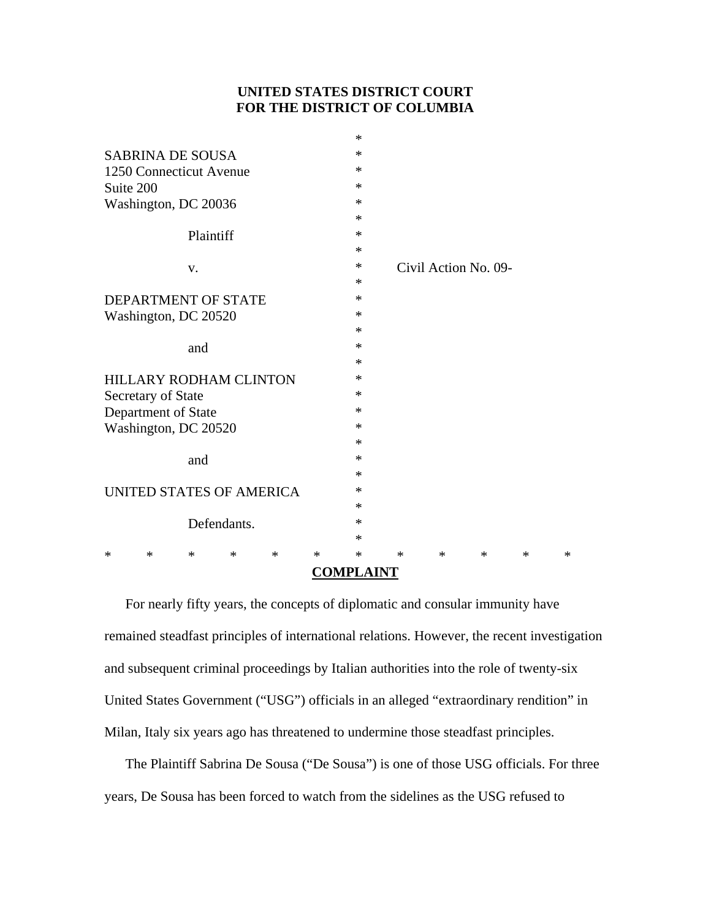# **UNITED STATES DISTRICT COURT FOR THE DISTRICT OF COLUMBIA**

| <b>COMPLAINT</b>                |  |        |        |        |                      |        |        |        |
|---------------------------------|--|--------|--------|--------|----------------------|--------|--------|--------|
| $\ast$<br>$\ast$<br>∗<br>∗<br>* |  | $\ast$ | $\ast$ | $\ast$ | $\ast$               | $\ast$ | $\ast$ | $\ast$ |
|                                 |  |        | $\ast$ |        |                      |        |        |        |
| Defendants.                     |  |        | *      |        |                      |        |        |        |
|                                 |  |        | $\ast$ |        |                      |        |        |        |
| UNITED STATES OF AMERICA        |  |        | ∗      |        |                      |        |        |        |
|                                 |  |        | ∗      |        |                      |        |        |        |
| and                             |  |        | ∗      |        |                      |        |        |        |
|                                 |  |        | $\ast$ |        |                      |        |        |        |
| Washington, DC 20520            |  |        | ∗      |        |                      |        |        |        |
| Department of State             |  |        | ∗      |        |                      |        |        |        |
| Secretary of State              |  |        | ∗      |        |                      |        |        |        |
| <b>HILLARY RODHAM CLINTON</b>   |  |        | $\ast$ |        |                      |        |        |        |
|                                 |  |        | $\ast$ |        |                      |        |        |        |
| and                             |  |        | ∗      |        |                      |        |        |        |
|                                 |  |        | $\ast$ |        |                      |        |        |        |
| Washington, DC 20520            |  |        | ∗      |        |                      |        |        |        |
| DEPARTMENT OF STATE             |  |        | $\ast$ |        |                      |        |        |        |
|                                 |  |        | ∗      |        |                      |        |        |        |
| V.                              |  |        | ∗      |        | Civil Action No. 09- |        |        |        |
|                                 |  |        | $\ast$ |        |                      |        |        |        |
| Plaintiff                       |  |        | $\ast$ |        |                      |        |        |        |
|                                 |  |        | ∗      |        |                      |        |        |        |
| Washington, DC 20036            |  |        | ∗      |        |                      |        |        |        |
| Suite 200                       |  |        | ∗      |        |                      |        |        |        |
| 1250 Connecticut Avenue         |  |        | $\ast$ |        |                      |        |        |        |
| <b>SABRINA DE SOUSA</b>         |  |        | ∗      |        |                      |        |        |        |
|                                 |  |        | $\ast$ |        |                      |        |        |        |

For nearly fifty years, the concepts of diplomatic and consular immunity have remained steadfast principles of international relations. However, the recent investigation and subsequent criminal proceedings by Italian authorities into the role of twenty-six United States Government ("USG") officials in an alleged "extraordinary rendition" in Milan, Italy six years ago has threatened to undermine those steadfast principles.

The Plaintiff Sabrina De Sousa ("De Sousa") is one of those USG officials. For three years, De Sousa has been forced to watch from the sidelines as the USG refused to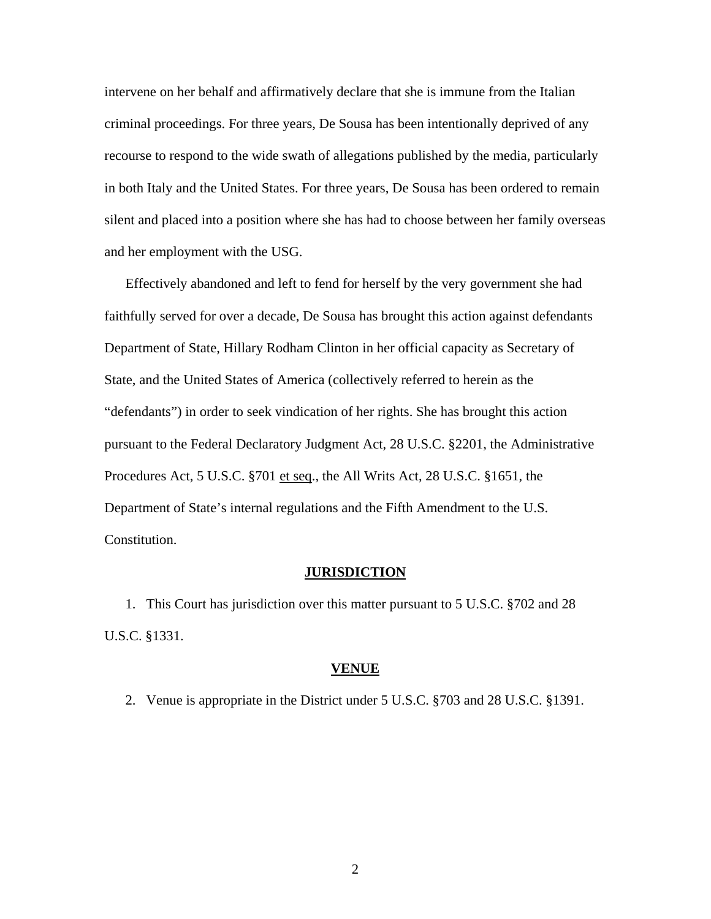intervene on her behalf and affirmatively declare that she is immune from the Italian criminal proceedings. For three years, De Sousa has been intentionally deprived of any recourse to respond to the wide swath of allegations published by the media, particularly in both Italy and the United States. For three years, De Sousa has been ordered to remain silent and placed into a position where she has had to choose between her family overseas and her employment with the USG.

Effectively abandoned and left to fend for herself by the very government she had faithfully served for over a decade, De Sousa has brought this action against defendants Department of State, Hillary Rodham Clinton in her official capacity as Secretary of State, and the United States of America (collectively referred to herein as the "defendants") in order to seek vindication of her rights. She has brought this action pursuant to the Federal Declaratory Judgment Act, 28 U.S.C. §2201, the Administrative Procedures Act, 5 U.S.C. §701 et seq., the All Writs Act, 28 U.S.C. §1651, the Department of State's internal regulations and the Fifth Amendment to the U.S. Constitution.

## **JURISDICTION**

1. This Court has jurisdiction over this matter pursuant to 5 U.S.C. §702 and 28 U.S.C. §1331.

### **VENUE**

2. Venue is appropriate in the District under 5 U.S.C. §703 and 28 U.S.C. §1391.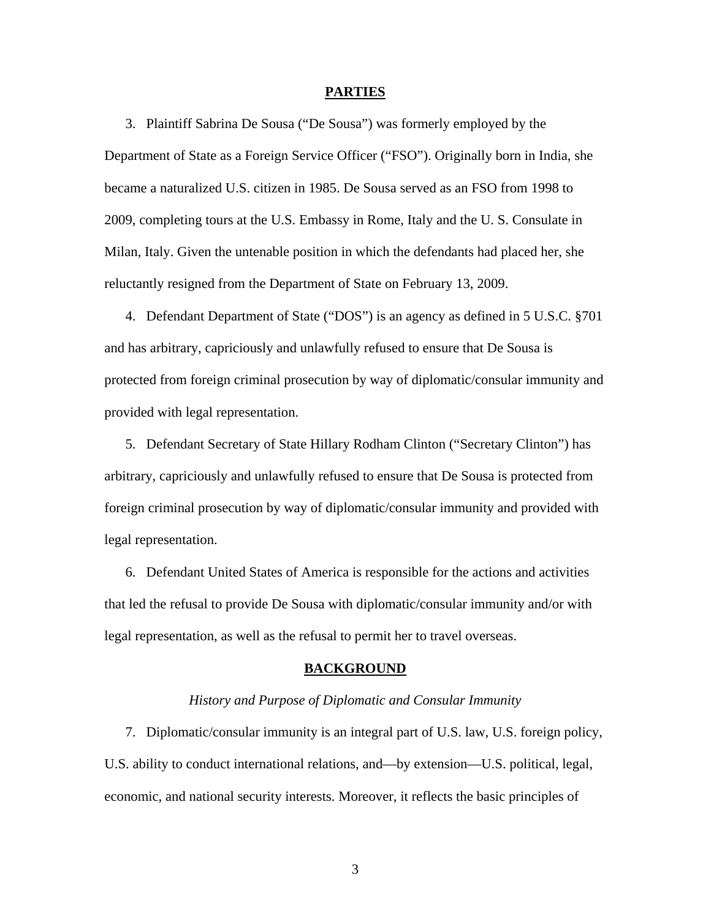#### **PARTIES**

3. Plaintiff Sabrina De Sousa ("De Sousa") was formerly employed by the Department of State as a Foreign Service Officer ("FSO"). Originally born in India, she became a naturalized U.S. citizen in 1985. De Sousa served as an FSO from 1998 to 2009, completing tours at the U.S. Embassy in Rome, Italy and the U. S. Consulate in Milan, Italy. Given the untenable position in which the defendants had placed her, she reluctantly resigned from the Department of State on February 13, 2009.

4. Defendant Department of State ("DOS") is an agency as defined in 5 U.S.C. §701 and has arbitrary, capriciously and unlawfully refused to ensure that De Sousa is protected from foreign criminal prosecution by way of diplomatic/consular immunity and provided with legal representation.

5. Defendant Secretary of State Hillary Rodham Clinton ("Secretary Clinton") has arbitrary, capriciously and unlawfully refused to ensure that De Sousa is protected from foreign criminal prosecution by way of diplomatic/consular immunity and provided with legal representation.

6. Defendant United States of America is responsible for the actions and activities that led the refusal to provide De Sousa with diplomatic/consular immunity and/or with legal representation, as well as the refusal to permit her to travel overseas.

### **BACKGROUND**

### *History and Purpose of Diplomatic and Consular Immunity*

7. Diplomatic/consular immunity is an integral part of U.S. law, U.S. foreign policy, U.S. ability to conduct international relations, and—by extension—U.S. political, legal, economic, and national security interests. Moreover, it reflects the basic principles of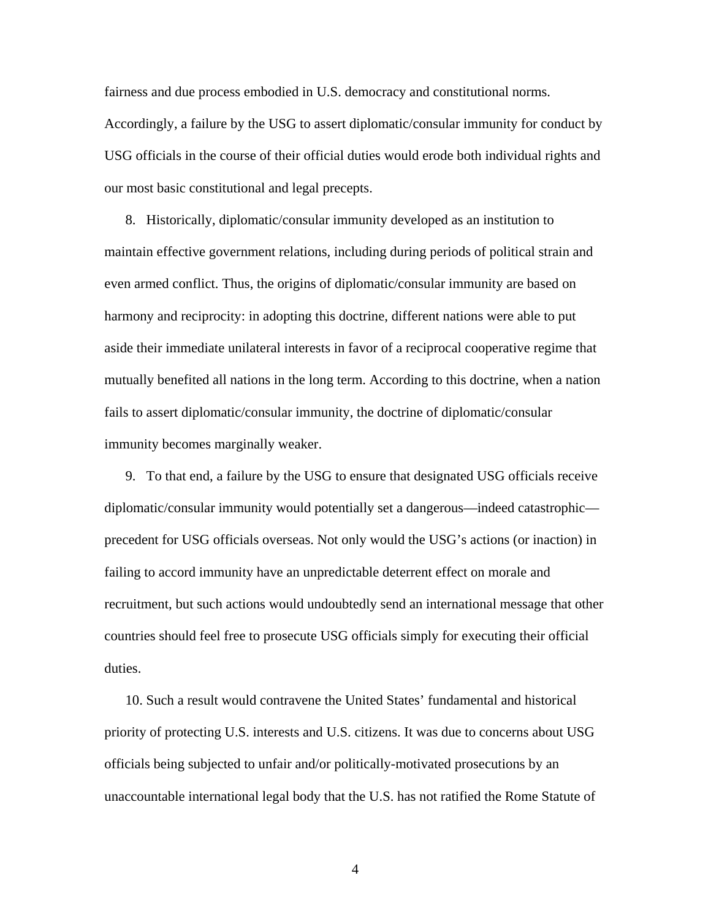fairness and due process embodied in U.S. democracy and constitutional norms. Accordingly, a failure by the USG to assert diplomatic/consular immunity for conduct by USG officials in the course of their official duties would erode both individual rights and our most basic constitutional and legal precepts.

8. Historically, diplomatic/consular immunity developed as an institution to maintain effective government relations, including during periods of political strain and even [armed conflict](http://en.wikipedia.org/wiki/War). Thus, the origins of diplomatic/consular immunity are based on harmony and reciprocity: in adopting this doctrine, different nations were able to put aside their immediate unilateral interests in favor of a reciprocal cooperative regime that mutually benefited all nations in the long term. According to this doctrine, when a nation fails to assert diplomatic/consular immunity, the doctrine of diplomatic/consular immunity becomes marginally weaker.

9. To that end, a failure by the USG to ensure that designated USG officials receive diplomatic/consular immunity would potentially set a dangerous—indeed catastrophic precedent for USG officials overseas. Not only would the USG's actions (or inaction) in failing to accord immunity have an unpredictable deterrent effect on morale and recruitment, but such actions would undoubtedly send an international message that other countries should feel free to prosecute USG officials simply for executing their official duties.

10. Such a result would contravene the United States' fundamental and historical priority of protecting U.S. interests and U.S. citizens. It was due to concerns about USG officials being subjected to unfair and/or politically-motivated prosecutions by an unaccountable international legal body that the U.S. has not ratified the Rome Statute of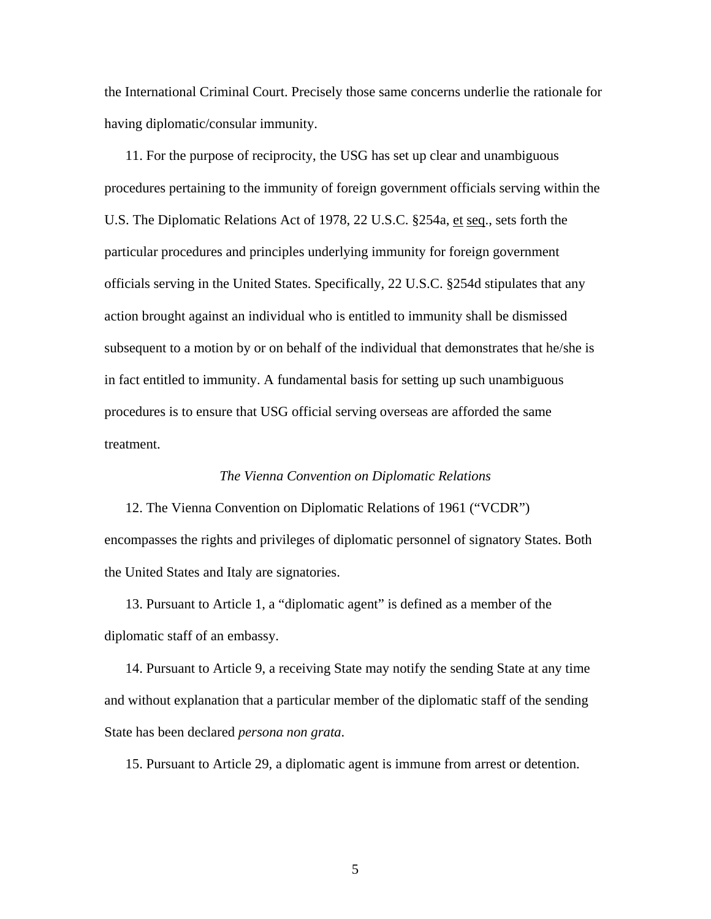the International Criminal Court. Precisely those same concerns underlie the rationale for having diplomatic/consular immunity.

11. For the purpose of reciprocity, the USG has set up clear and unambiguous procedures pertaining to the immunity of foreign government officials serving within the U.S. The Diplomatic Relations Act of 1978, 22 U.S.C. §254a, et seq., sets forth the particular procedures and principles underlying immunity for foreign government officials serving in the United States. Specifically, 22 U.S.C. §254d stipulates that any action brought against an individual who is entitled to immunity shall be dismissed subsequent to a motion by or on behalf of the individual that demonstrates that he/she is in fact entitled to immunity. A fundamental basis for setting up such unambiguous procedures is to ensure that USG official serving overseas are afforded the same treatment.

## *The Vienna Convention on Diplomatic Relations*

12. The Vienna Convention on Diplomatic Relations of 1961 ("VCDR") encompasses the rights and privileges of diplomatic personnel of signatory States. Both the United States and Italy are signatories.

13. Pursuant to Article 1, a "diplomatic agent" is defined as a member of the diplomatic staff of an embassy.

14. Pursuant to Article 9, a receiving State may notify the sending State at any time and without explanation that a particular member of the diplomatic staff of the sending State has been declared *persona non grata*.

15. Pursuant to Article 29, a diplomatic agent is immune from arrest or detention.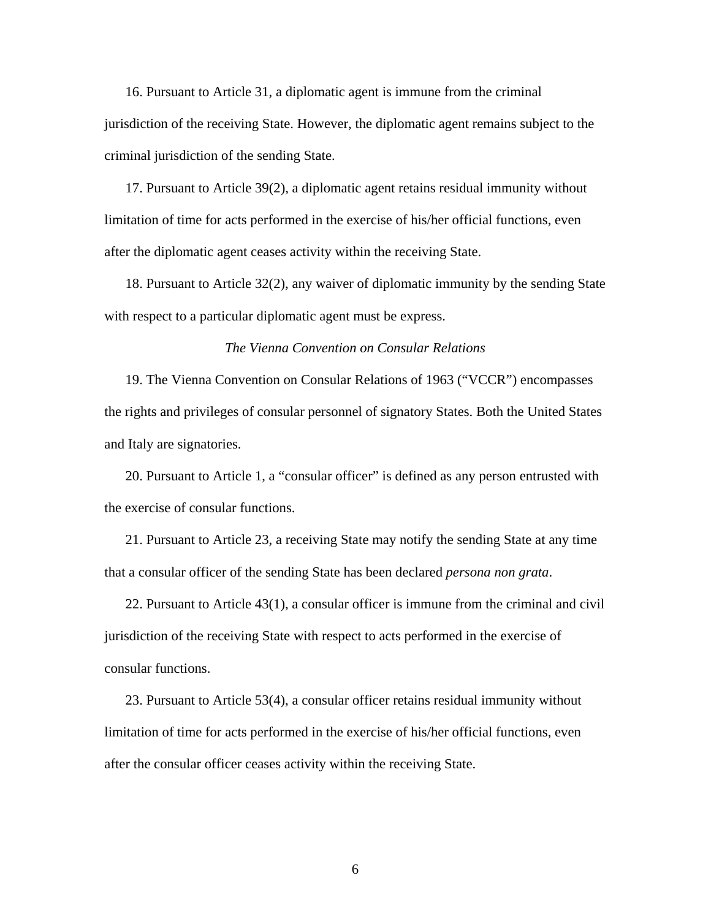16. Pursuant to Article 31, a diplomatic agent is immune from the criminal jurisdiction of the receiving State. However, the diplomatic agent remains subject to the criminal jurisdiction of the sending State.

17. Pursuant to Article 39(2), a diplomatic agent retains residual immunity without limitation of time for acts performed in the exercise of his/her official functions, even after the diplomatic agent ceases activity within the receiving State.

18. Pursuant to Article 32(2), any waiver of diplomatic immunity by the sending State with respect to a particular diplomatic agent must be express.

## *The Vienna Convention on Consular Relations*

19. The Vienna Convention on Consular Relations of 1963 ("VCCR") encompasses the rights and privileges of consular personnel of signatory States. Both the United States and Italy are signatories.

20. Pursuant to Article 1, a "consular officer" is defined as any person entrusted with the exercise of consular functions.

21. Pursuant to Article 23, a receiving State may notify the sending State at any time that a consular officer of the sending State has been declared *persona non grata*.

22. Pursuant to Article 43(1), a consular officer is immune from the criminal and civil jurisdiction of the receiving State with respect to acts performed in the exercise of consular functions.

23. Pursuant to Article 53(4), a consular officer retains residual immunity without limitation of time for acts performed in the exercise of his/her official functions, even after the consular officer ceases activity within the receiving State.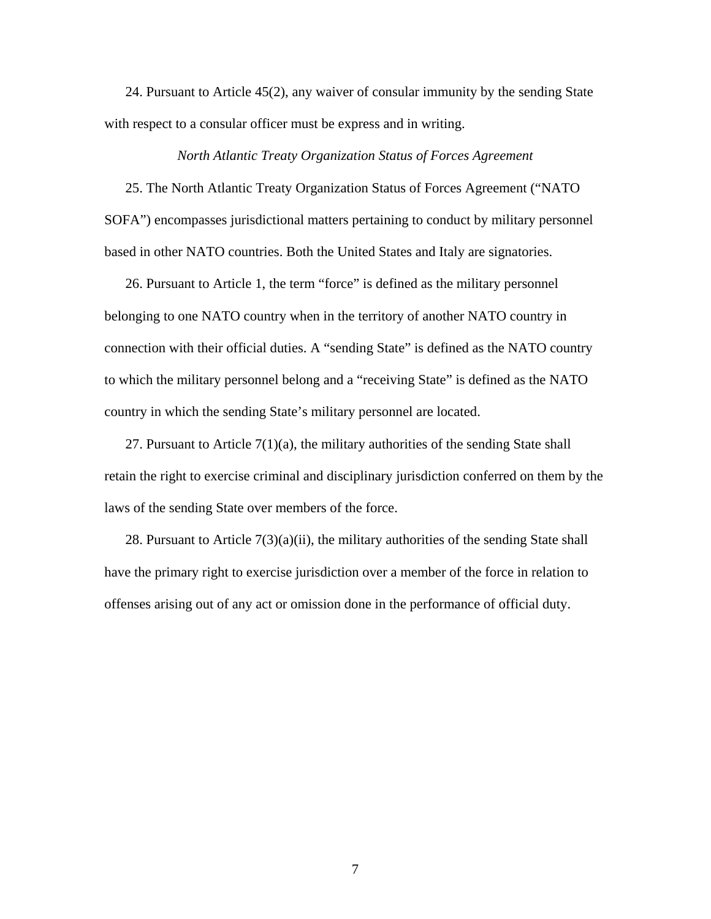24. Pursuant to Article 45(2), any waiver of consular immunity by the sending State with respect to a consular officer must be express and in writing.

## *North Atlantic Treaty Organization Status of Forces Agreement*

25. The North Atlantic Treaty Organization Status of Forces Agreement ("NATO SOFA") encompasses jurisdictional matters pertaining to conduct by military personnel based in other NATO countries. Both the United States and Italy are signatories.

26. Pursuant to Article 1, the term "force" is defined as the military personnel belonging to one NATO country when in the territory of another NATO country in connection with their official duties. A "sending State" is defined as the NATO country to which the military personnel belong and a "receiving State" is defined as the NATO country in which the sending State's military personnel are located.

27. Pursuant to Article 7(1)(a), the military authorities of the sending State shall retain the right to exercise criminal and disciplinary jurisdiction conferred on them by the laws of the sending State over members of the force.

28. Pursuant to Article 7(3)(a)(ii), the military authorities of the sending State shall have the primary right to exercise jurisdiction over a member of the force in relation to offenses arising out of any act or omission done in the performance of official duty.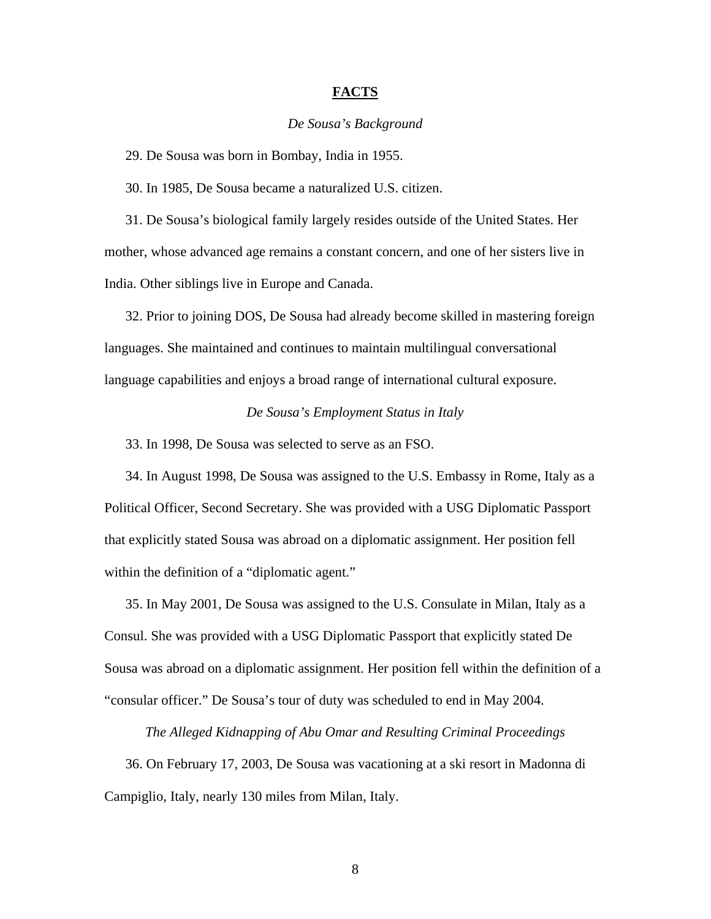## **FACTS**

### *De Sousa's Background*

29. De Sousa was born in Bombay, India in 1955.

30. In 1985, De Sousa became a naturalized U.S. citizen.

31. De Sousa's biological family largely resides outside of the United States. Her mother, whose advanced age remains a constant concern, and one of her sisters live in India. Other siblings live in Europe and Canada.

32. Prior to joining DOS, De Sousa had already become skilled in mastering foreign languages. She maintained and continues to maintain multilingual conversational language capabilities and enjoys a broad range of international cultural exposure.

# *De Sousa's Employment Status in Italy*

33. In 1998, De Sousa was selected to serve as an FSO.

34. In August 1998, De Sousa was assigned to the U.S. Embassy in Rome, Italy as a Political Officer, Second Secretary. She was provided with a USG Diplomatic Passport that explicitly stated Sousa was abroad on a diplomatic assignment. Her position fell within the definition of a "diplomatic agent."

35. In May 2001, De Sousa was assigned to the U.S. Consulate in Milan, Italy as a Consul. She was provided with a USG Diplomatic Passport that explicitly stated De Sousa was abroad on a diplomatic assignment. Her position fell within the definition of a "consular officer." De Sousa's tour of duty was scheduled to end in May 2004.

*The Alleged Kidnapping of Abu Omar and Resulting Criminal Proceedings* 

36. On February 17, 2003, De Sousa was vacationing at a ski resort in Madonna di Campiglio, Italy, nearly 130 miles from Milan, Italy.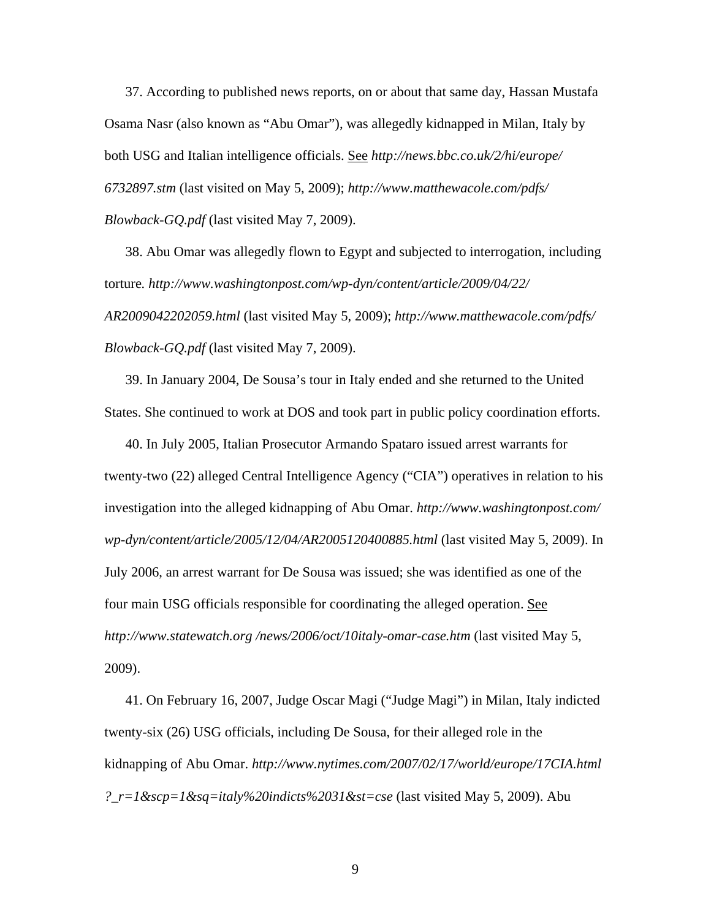37. According to published news reports, on or about that same day, Hassan Mustafa Osama Nasr (also known as "Abu Omar"), was allegedly kidnapped in Milan, Italy by both USG and Italian intelligence officials. See *http://news.bbc.co.uk/2/hi/europe/ 6732897.stm* (last visited on May 5, 2009); *http://www.matthewacole.com/pdfs/ Blowback-GQ.pdf* (last visited May 7, 2009).

38. Abu Omar was allegedly flown to Egypt and subjected to interrogation, including torture*. http://www.washingtonpost.com/wp-dyn/content/article/2009/04/22/ AR2009042202059.html* (last visited May 5, 2009); *http://www.matthewacole.com/pdfs/ Blowback-GQ.pdf* (last visited May 7, 2009).

39. In January 2004, De Sousa's tour in Italy ended and she returned to the United States. She continued to work at DOS and took part in public policy coordination efforts.

40. In July 2005, Italian Prosecutor Armando Spataro issued arrest warrants for twenty-two (22) alleged Central Intelligence Agency ("CIA") operatives in relation to his investigation into the alleged kidnapping of Abu Omar. *http://www.washingtonpost.com/ wp-dyn/content/article/2005/12/04/AR2005120400885.html* (last visited May 5, 2009). In July 2006, an arrest warrant for De Sousa was issued; she was identified as one of the four main USG officials responsible for coordinating the alleged operation. See *http://www.statewatch.org /news/2006/oct/10italy-omar-case.htm* (last visited May 5, 2009).

41. On February 16, 2007, Judge Oscar Magi ("Judge Magi") in Milan, Italy indicted twenty-six (26) USG officials, including De Sousa, for their alleged role in the kidnapping of Abu Omar. *http://www.nytimes.com/2007/02/17/world/europe/17CIA.html ?\_r=1&scp=1&sq=italy%20indicts%2031&st=cse* (last visited May 5, 2009). Abu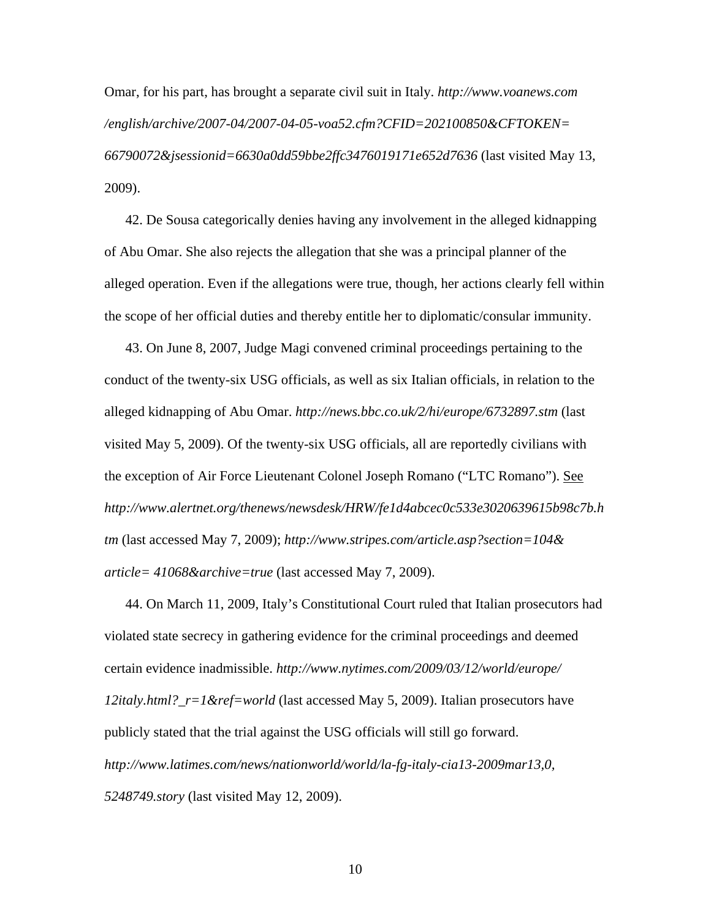Omar, for his part, has brought a separate civil suit in Italy. *http://www.voanews.com /english/archive/2007-04/2007-04-05-voa52.cfm?CFID=202100850&CFTOKEN= 66790072&jsessionid=6630a0dd59bbe2ffc3476019171e652d7636* (last visited May 13, 2009).

42. De Sousa categorically denies having any involvement in the alleged kidnapping of Abu Omar. She also rejects the allegation that she was a principal planner of the alleged operation. Even if the allegations were true, though, her actions clearly fell within the scope of her official duties and thereby entitle her to diplomatic/consular immunity.

43. On June 8, 2007, Judge Magi convened criminal proceedings pertaining to the conduct of the twenty-six USG officials, as well as six Italian officials, in relation to the alleged kidnapping of Abu Omar. *http://news.bbc.co.uk/2/hi/europe/6732897.stm* (last visited May 5, 2009). Of the twenty-six USG officials, all are reportedly civilians with the exception of Air Force Lieutenant Colonel Joseph Romano ("LTC Romano"). See *http://www.alertnet.org/thenews/newsdesk/HRW/fe1d4abcec0c533e3020639615b98c7b.h tm* (last accessed May 7, 2009); *http://www.stripes.com/article.asp?section=104& article= 41068&archive=true* (last accessed May 7, 2009).

44. On March 11, 2009, Italy's Constitutional Court ruled that Italian prosecutors had violated state secrecy in gathering evidence for the criminal proceedings and deemed certain evidence inadmissible. *http://www.nytimes.com/2009/03/12/world/europe/ 12italy.html?\_r=1&ref=world* (last accessed May 5, 2009). Italian prosecutors have publicly stated that the trial against the USG officials will still go forward. *http://www.latimes.com/news/nationworld/world/la-fg-italy-cia13-2009mar13,0, 5248749.story* (last visited May 12, 2009).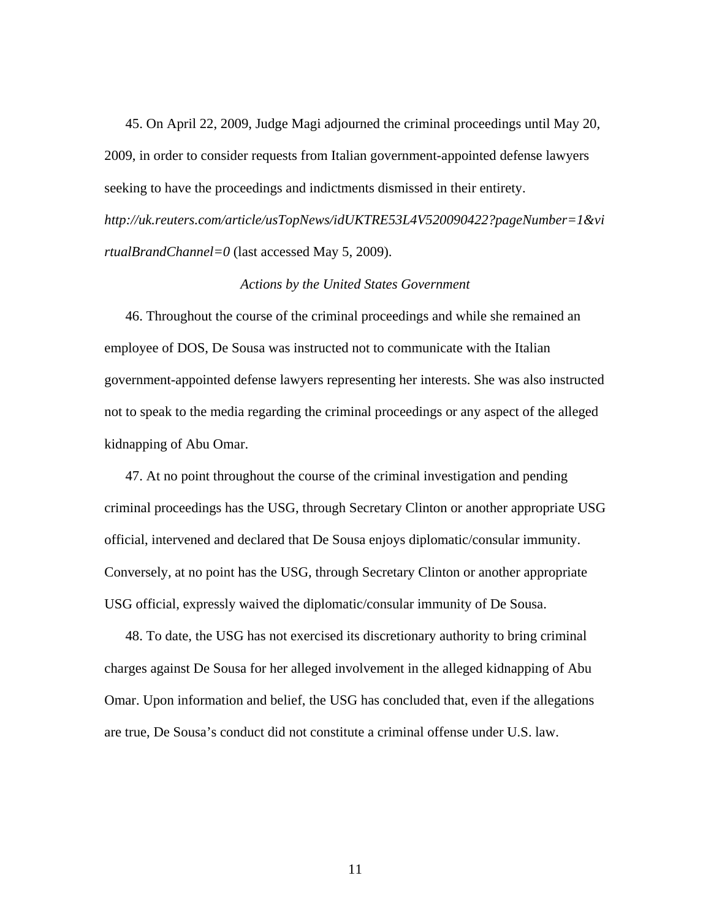45. On April 22, 2009, Judge Magi adjourned the criminal proceedings until May 20, 2009, in order to consider requests from Italian government-appointed defense lawyers seeking to have the proceedings and indictments dismissed in their entirety. *http://uk.reuters.com/article/usTopNews/idUKTRE53L4V520090422?pageNumber=1&vi rtualBrandChannel=0* (last accessed May 5, 2009).

## *Actions by the United States Government*

46. Throughout the course of the criminal proceedings and while she remained an employee of DOS, De Sousa was instructed not to communicate with the Italian government-appointed defense lawyers representing her interests. She was also instructed not to speak to the media regarding the criminal proceedings or any aspect of the alleged kidnapping of Abu Omar.

47. At no point throughout the course of the criminal investigation and pending criminal proceedings has the USG, through Secretary Clinton or another appropriate USG official, intervened and declared that De Sousa enjoys diplomatic/consular immunity. Conversely, at no point has the USG, through Secretary Clinton or another appropriate USG official, expressly waived the diplomatic/consular immunity of De Sousa.

48. To date, the USG has not exercised its discretionary authority to bring criminal charges against De Sousa for her alleged involvement in the alleged kidnapping of Abu Omar. Upon information and belief, the USG has concluded that, even if the allegations are true, De Sousa's conduct did not constitute a criminal offense under U.S. law.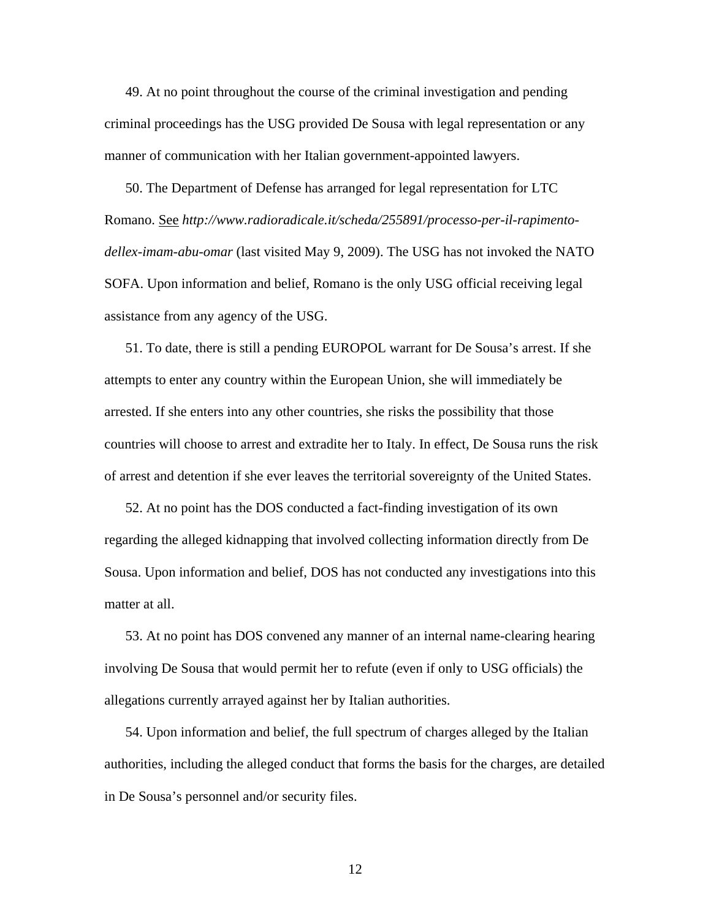49. At no point throughout the course of the criminal investigation and pending criminal proceedings has the USG provided De Sousa with legal representation or any manner of communication with her Italian government-appointed lawyers.

50. The Department of Defense has arranged for legal representation for LTC Romano. See *http://www.radioradicale.it/scheda/255891/processo-per-il-rapimentodellex-imam-abu-omar* (last visited May 9, 2009). The USG has not invoked the NATO SOFA. Upon information and belief, Romano is the only USG official receiving legal assistance from any agency of the USG.

51. To date, there is still a pending EUROPOL warrant for De Sousa's arrest. If she attempts to enter any country within the European Union, she will immediately be arrested. If she enters into any other countries, she risks the possibility that those countries will choose to arrest and extradite her to Italy. In effect, De Sousa runs the risk of arrest and detention if she ever leaves the territorial sovereignty of the United States.

52. At no point has the DOS conducted a fact-finding investigation of its own regarding the alleged kidnapping that involved collecting information directly from De Sousa. Upon information and belief, DOS has not conducted any investigations into this matter at all.

53. At no point has DOS convened any manner of an internal name-clearing hearing involving De Sousa that would permit her to refute (even if only to USG officials) the allegations currently arrayed against her by Italian authorities.

54. Upon information and belief, the full spectrum of charges alleged by the Italian authorities, including the alleged conduct that forms the basis for the charges, are detailed in De Sousa's personnel and/or security files.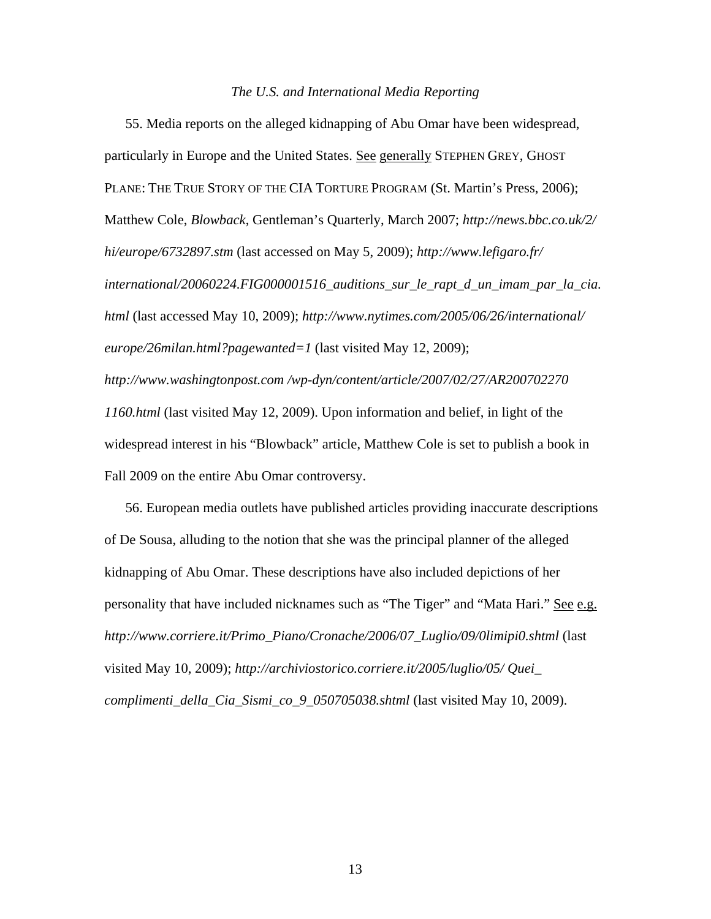### *The U.S. and International Media Reporting*

55. Media reports on the alleged kidnapping of Abu Omar have been widespread, particularly in Europe and the United States. See generally STEPHEN GREY, GHOST PLANE: THE TRUE STORY OF THE CIA TORTURE PROGRAM (St. Martin's Press, 2006); Matthew Cole, *Blowback*, Gentleman's Quarterly, March 2007; *http://news.bbc.co.uk/2/ hi/europe/6732897.stm* (last accessed on May 5, 2009); *http://www.lefigaro.fr/ international/20060224.FIG000001516\_auditions\_sur\_le\_rapt\_d\_un\_imam\_par\_la\_cia. html* (last accessed May 10, 2009); *http://www.nytimes.com/2005/06/26/international/ europe/26milan.html?pagewanted=1* (last visited May 12, 2009); *http://www.washingtonpost.com /wp-dyn/content/article/2007/02/27/AR200702270 1160.html* (last visited May 12, 2009). Upon information and belief, in light of the widespread interest in his "Blowback" article, Matthew Cole is set to publish a book in Fall 2009 on the entire Abu Omar controversy.

56. European media outlets have published articles providing inaccurate descriptions of De Sousa, alluding to the notion that she was the principal planner of the alleged kidnapping of Abu Omar. These descriptions have also included depictions of her personality that have included nicknames such as "The Tiger" and "Mata Hari." See e.g. *http://www.corriere.it/Primo\_Piano/Cronache/2006/07\_Luglio/09/0limipi0.shtml* (last visited May 10, 2009); *http://archiviostorico.corriere.it/2005/luglio/05/ Quei\_ complimenti\_della\_Cia\_Sismi\_co\_9\_050705038.shtml* (last visited May 10, 2009).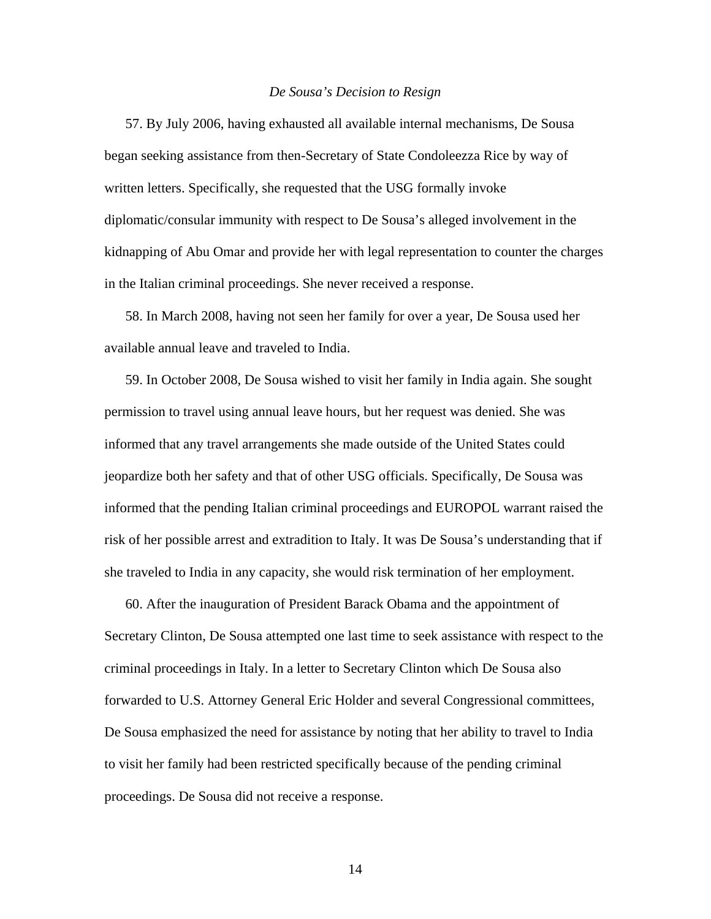### *De Sousa's Decision to Resign*

57. By July 2006, having exhausted all available internal mechanisms, De Sousa began seeking assistance from then-Secretary of State Condoleezza Rice by way of written letters. Specifically, she requested that the USG formally invoke diplomatic/consular immunity with respect to De Sousa's alleged involvement in the kidnapping of Abu Omar and provide her with legal representation to counter the charges in the Italian criminal proceedings. She never received a response.

58. In March 2008, having not seen her family for over a year, De Sousa used her available annual leave and traveled to India.

59. In October 2008, De Sousa wished to visit her family in India again. She sought permission to travel using annual leave hours, but her request was denied. She was informed that any travel arrangements she made outside of the United States could jeopardize both her safety and that of other USG officials. Specifically, De Sousa was informed that the pending Italian criminal proceedings and EUROPOL warrant raised the risk of her possible arrest and extradition to Italy. It was De Sousa's understanding that if she traveled to India in any capacity, she would risk termination of her employment.

60. After the inauguration of President Barack Obama and the appointment of Secretary Clinton, De Sousa attempted one last time to seek assistance with respect to the criminal proceedings in Italy. In a letter to Secretary Clinton which De Sousa also forwarded to U.S. Attorney General Eric Holder and several Congressional committees, De Sousa emphasized the need for assistance by noting that her ability to travel to India to visit her family had been restricted specifically because of the pending criminal proceedings. De Sousa did not receive a response.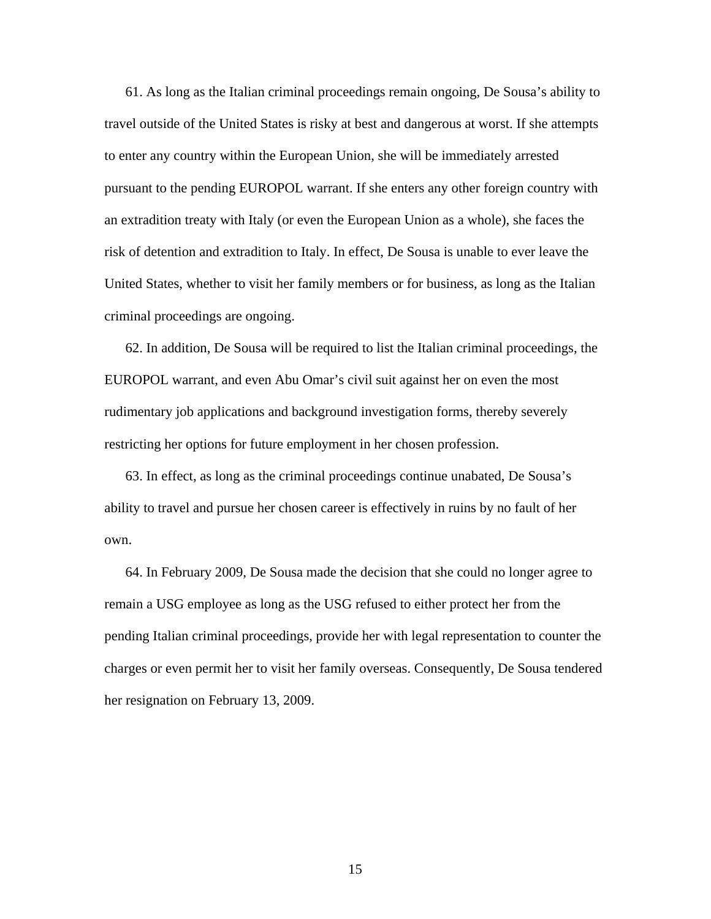61. As long as the Italian criminal proceedings remain ongoing, De Sousa's ability to travel outside of the United States is risky at best and dangerous at worst. If she attempts to enter any country within the European Union, she will be immediately arrested pursuant to the pending EUROPOL warrant. If she enters any other foreign country with an extradition treaty with Italy (or even the European Union as a whole), she faces the risk of detention and extradition to Italy. In effect, De Sousa is unable to ever leave the United States, whether to visit her family members or for business, as long as the Italian criminal proceedings are ongoing.

62. In addition, De Sousa will be required to list the Italian criminal proceedings, the EUROPOL warrant, and even Abu Omar's civil suit against her on even the most rudimentary job applications and background investigation forms, thereby severely restricting her options for future employment in her chosen profession.

63. In effect, as long as the criminal proceedings continue unabated, De Sousa's ability to travel and pursue her chosen career is effectively in ruins by no fault of her own.

64. In February 2009, De Sousa made the decision that she could no longer agree to remain a USG employee as long as the USG refused to either protect her from the pending Italian criminal proceedings, provide her with legal representation to counter the charges or even permit her to visit her family overseas. Consequently, De Sousa tendered her resignation on February 13, 2009.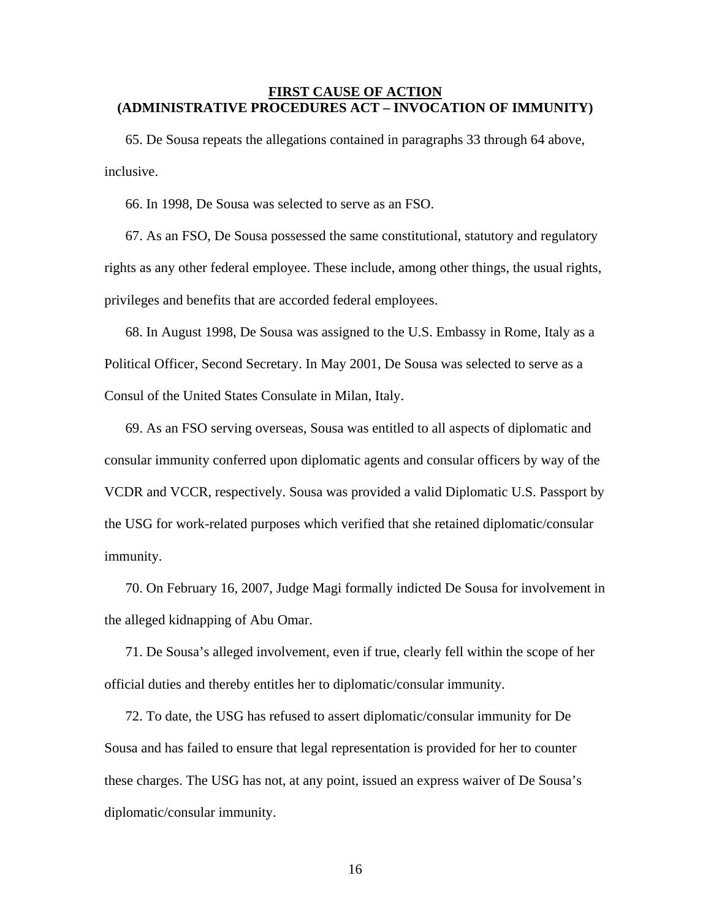## **FIRST CAUSE OF ACTION (ADMINISTRATIVE PROCEDURES ACT – INVOCATION OF IMMUNITY)**

65. De Sousa repeats the allegations contained in paragraphs 33 through 64 above, inclusive.

66. In 1998, De Sousa was selected to serve as an FSO.

67. As an FSO, De Sousa possessed the same constitutional, statutory and regulatory rights as any other federal employee. These include, among other things, the usual rights, privileges and benefits that are accorded federal employees.

68. In August 1998, De Sousa was assigned to the U.S. Embassy in Rome, Italy as a Political Officer, Second Secretary. In May 2001, De Sousa was selected to serve as a Consul of the United States Consulate in Milan, Italy.

69. As an FSO serving overseas, Sousa was entitled to all aspects of diplomatic and consular immunity conferred upon diplomatic agents and consular officers by way of the VCDR and VCCR, respectively. Sousa was provided a valid Diplomatic U.S. Passport by the USG for work-related purposes which verified that she retained diplomatic/consular immunity.

70. On February 16, 2007, Judge Magi formally indicted De Sousa for involvement in the alleged kidnapping of Abu Omar.

71. De Sousa's alleged involvement, even if true, clearly fell within the scope of her official duties and thereby entitles her to diplomatic/consular immunity.

72. To date, the USG has refused to assert diplomatic/consular immunity for De Sousa and has failed to ensure that legal representation is provided for her to counter these charges. The USG has not, at any point, issued an express waiver of De Sousa's diplomatic/consular immunity.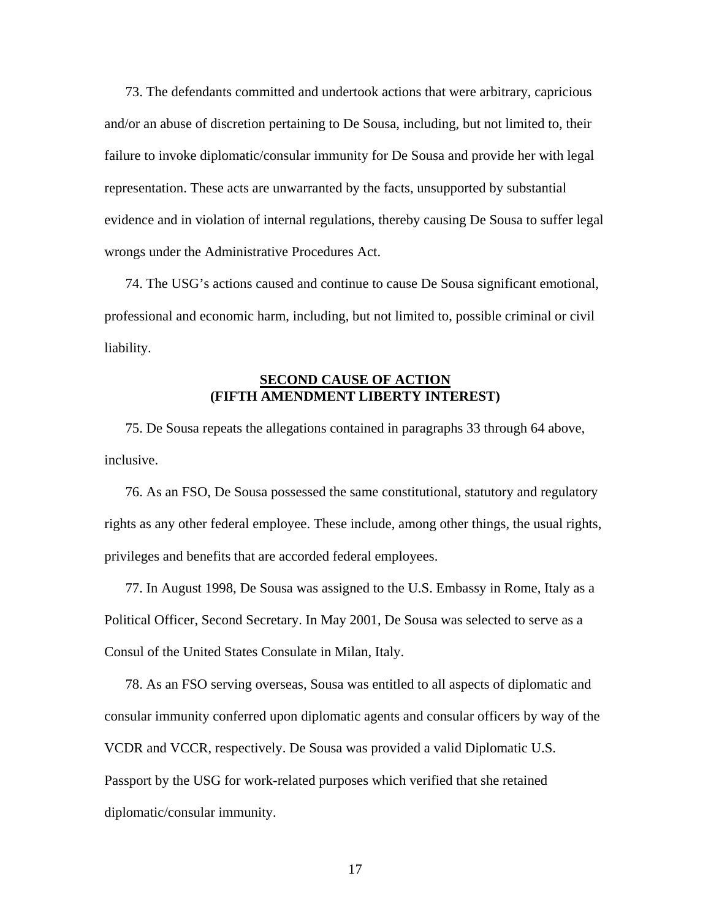73. The defendants committed and undertook actions that were arbitrary, capricious and/or an abuse of discretion pertaining to De Sousa, including, but not limited to, their failure to invoke diplomatic/consular immunity for De Sousa and provide her with legal representation. These acts are unwarranted by the facts, unsupported by substantial evidence and in violation of internal regulations, thereby causing De Sousa to suffer legal wrongs under the Administrative Procedures Act.

74. The USG's actions caused and continue to cause De Sousa significant emotional, professional and economic harm, including, but not limited to, possible criminal or civil liability.

## **SECOND CAUSE OF ACTION (FIFTH AMENDMENT LIBERTY INTEREST)**

75. De Sousa repeats the allegations contained in paragraphs 33 through 64 above, inclusive.

76. As an FSO, De Sousa possessed the same constitutional, statutory and regulatory rights as any other federal employee. These include, among other things, the usual rights, privileges and benefits that are accorded federal employees.

77. In August 1998, De Sousa was assigned to the U.S. Embassy in Rome, Italy as a Political Officer, Second Secretary. In May 2001, De Sousa was selected to serve as a Consul of the United States Consulate in Milan, Italy.

78. As an FSO serving overseas, Sousa was entitled to all aspects of diplomatic and consular immunity conferred upon diplomatic agents and consular officers by way of the VCDR and VCCR, respectively. De Sousa was provided a valid Diplomatic U.S. Passport by the USG for work-related purposes which verified that she retained diplomatic/consular immunity.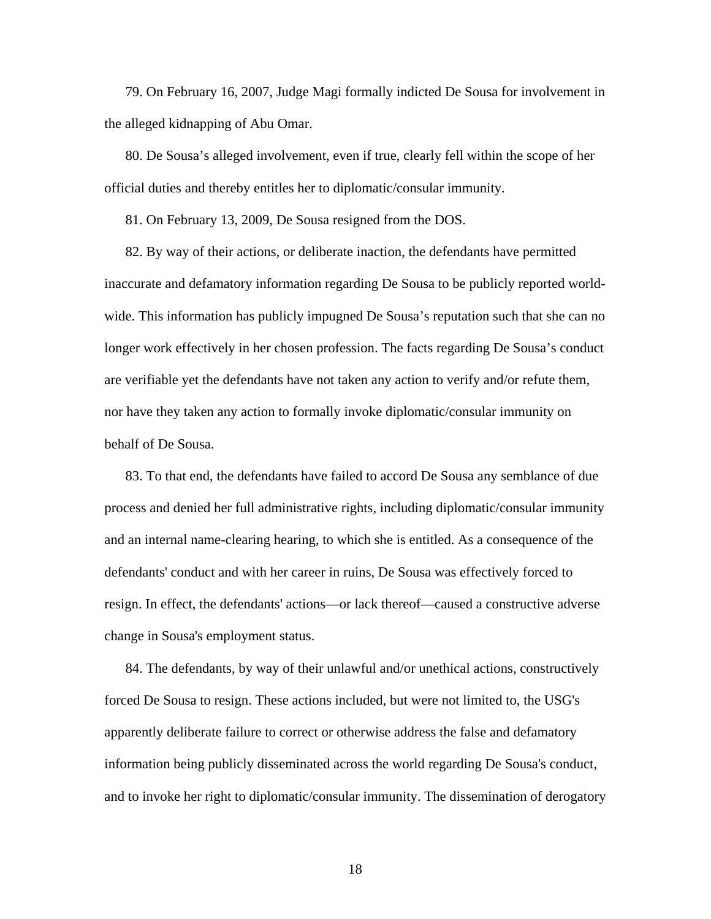79. On February 16, 2007, Judge Magi formally indicted De Sousa for involvement in the alleged kidnapping of Abu Omar.

80. De Sousa's alleged involvement, even if true, clearly fell within the scope of her official duties and thereby entitles her to diplomatic/consular immunity.

81. On February 13, 2009, De Sousa resigned from the DOS.

 82. By way of their actions, or deliberate inaction, the defendants have permitted inaccurate and defamatory information regarding De Sousa to be publicly reported worldwide. This information has publicly impugned De Sousa's reputation such that she can no longer work effectively in her chosen profession. The facts regarding De Sousa's conduct are verifiable yet the defendants have not taken any action to verify and/or refute them, nor have they taken any action to formally invoke diplomatic/consular immunity on behalf of De Sousa.

 83. To that end, the defendants have failed to accord De Sousa any semblance of due process and denied her full administrative rights, including diplomatic/consular immunity and an internal name-clearing hearing, to which she is entitled. As a consequence of the defendants' conduct and with her career in ruins, De Sousa was effectively forced to resign. In effect, the defendants' actions—or lack thereof—caused a constructive adverse change in Sousa's employment status.

 84. The defendants, by way of their unlawful and/or unethical actions, constructively forced De Sousa to resign. These actions included, but were not limited to, the USG's apparently deliberate failure to correct or otherwise address the false and defamatory information being publicly disseminated across the world regarding De Sousa's conduct, and to invoke her right to diplomatic/consular immunity. The dissemination of derogatory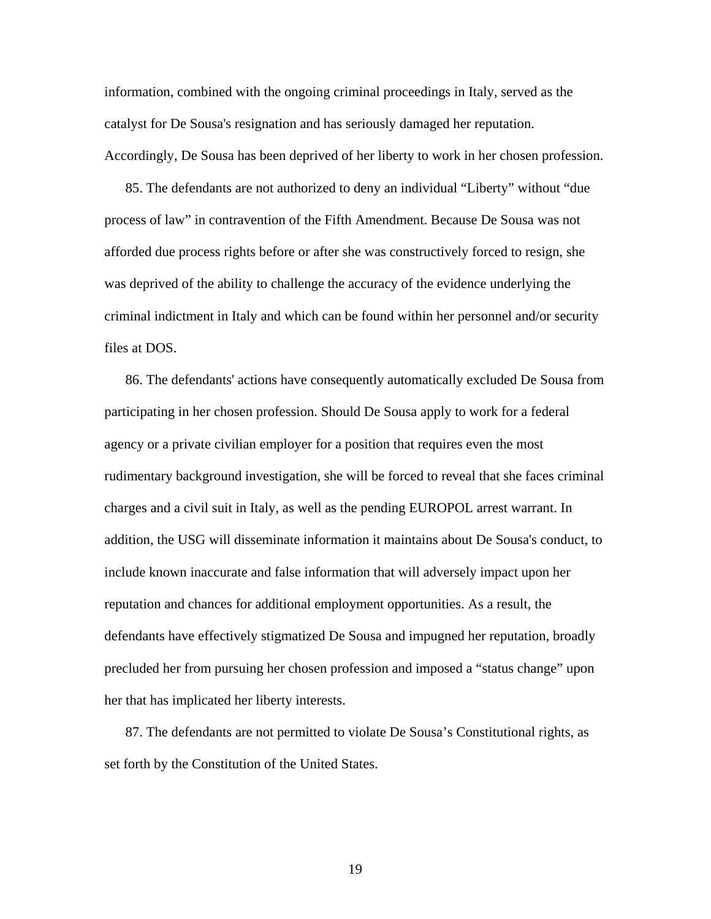information, combined with the ongoing criminal proceedings in Italy, served as the catalyst for De Sousa's resignation and has seriously damaged her reputation. Accordingly, De Sousa has been deprived of her liberty to work in her chosen profession.

 85. The defendants are not authorized to deny an individual "Liberty" without "due process of law" in contravention of the Fifth Amendment. Because De Sousa was not afforded due process rights before or after she was constructively forced to resign, she was deprived of the ability to challenge the accuracy of the evidence underlying the criminal indictment in Italy and which can be found within her personnel and/or security files at DOS.

 86. The defendants' actions have consequently automatically excluded De Sousa from participating in her chosen profession. Should De Sousa apply to work for a federal agency or a private civilian employer for a position that requires even the most rudimentary background investigation, she will be forced to reveal that she faces criminal charges and a civil suit in Italy, as well as the pending EUROPOL arrest warrant. In addition, the USG will disseminate information it maintains about De Sousa's conduct, to include known inaccurate and false information that will adversely impact upon her reputation and chances for additional employment opportunities. As a result, the defendants have effectively stigmatized De Sousa and impugned her reputation, broadly precluded her from pursuing her chosen profession and imposed a "status change" upon her that has implicated her liberty interests.

 87. The defendants are not permitted to violate De Sousa's Constitutional rights, as set forth by the Constitution of the United States.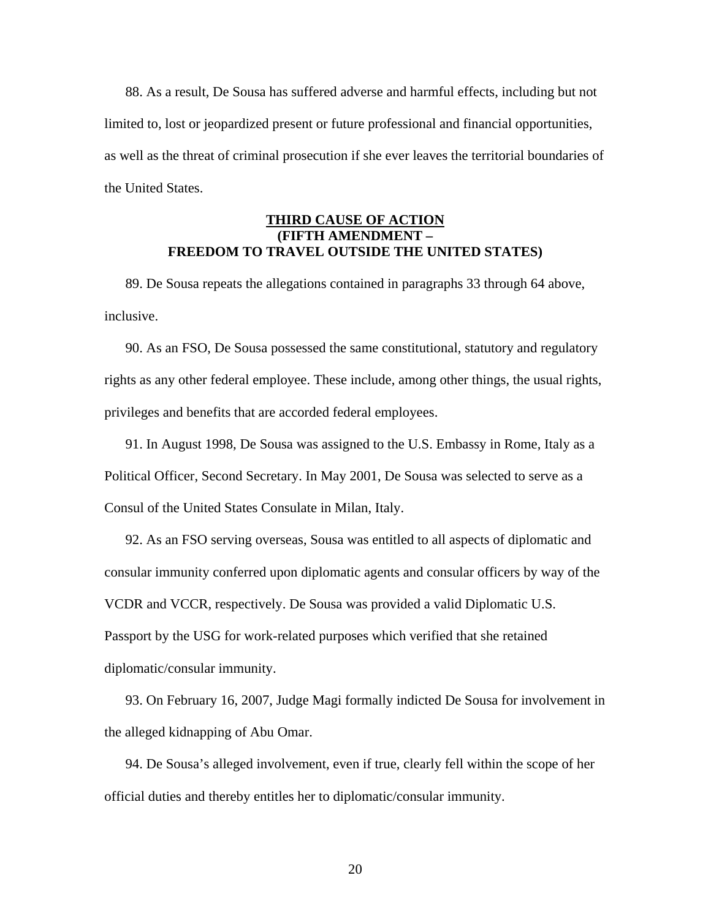88. As a result, De Sousa has suffered adverse and harmful effects, including but not limited to, lost or jeopardized present or future professional and financial opportunities, as well as the threat of criminal prosecution if she ever leaves the territorial boundaries of the United States.

# **THIRD CAUSE OF ACTION (FIFTH AMENDMENT – FREEDOM TO TRAVEL OUTSIDE THE UNITED STATES)**

89. De Sousa repeats the allegations contained in paragraphs 33 through 64 above, inclusive.

90. As an FSO, De Sousa possessed the same constitutional, statutory and regulatory rights as any other federal employee. These include, among other things, the usual rights, privileges and benefits that are accorded federal employees.

91. In August 1998, De Sousa was assigned to the U.S. Embassy in Rome, Italy as a Political Officer, Second Secretary. In May 2001, De Sousa was selected to serve as a Consul of the United States Consulate in Milan, Italy.

92. As an FSO serving overseas, Sousa was entitled to all aspects of diplomatic and consular immunity conferred upon diplomatic agents and consular officers by way of the VCDR and VCCR, respectively. De Sousa was provided a valid Diplomatic U.S. Passport by the USG for work-related purposes which verified that she retained diplomatic/consular immunity.

93. On February 16, 2007, Judge Magi formally indicted De Sousa for involvement in the alleged kidnapping of Abu Omar.

94. De Sousa's alleged involvement, even if true, clearly fell within the scope of her official duties and thereby entitles her to diplomatic/consular immunity.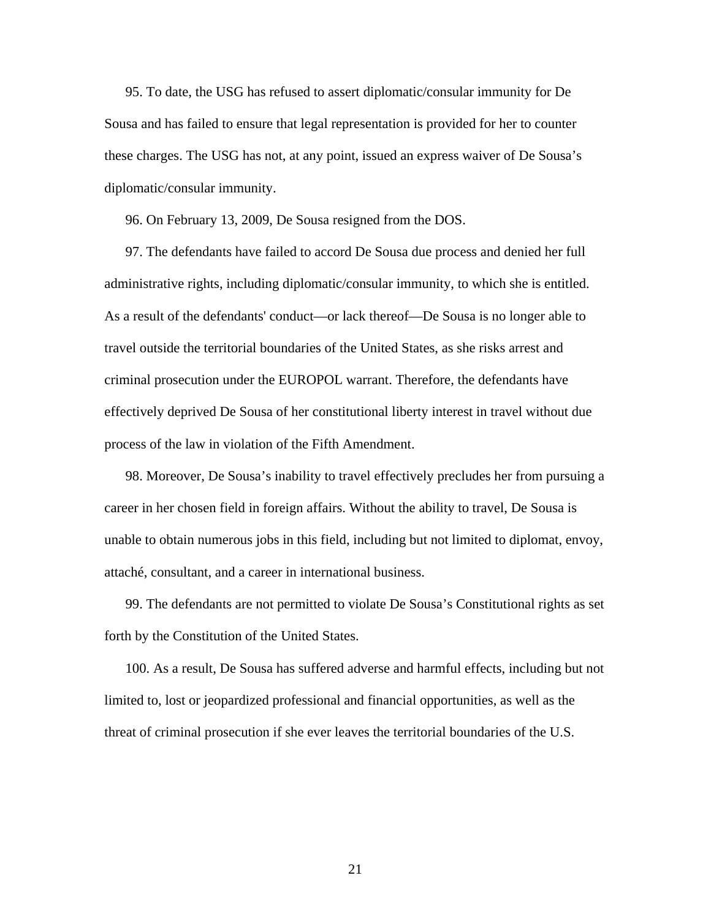95. To date, the USG has refused to assert diplomatic/consular immunity for De Sousa and has failed to ensure that legal representation is provided for her to counter these charges. The USG has not, at any point, issued an express waiver of De Sousa's diplomatic/consular immunity.

96. On February 13, 2009, De Sousa resigned from the DOS.

 97. The defendants have failed to accord De Sousa due process and denied her full administrative rights, including diplomatic/consular immunity, to which she is entitled. As a result of the defendants' conduct—or lack thereof—De Sousa is no longer able to travel outside the territorial boundaries of the United States, as she risks arrest and criminal prosecution under the EUROPOL warrant. Therefore, the defendants have effectively deprived De Sousa of her constitutional liberty interest in travel without due process of the law in violation of the Fifth Amendment.

98. Moreover, De Sousa's inability to travel effectively precludes her from pursuing a career in her chosen field in foreign affairs. Without the ability to travel, De Sousa is unable to obtain numerous jobs in this field, including but not limited to diplomat, envoy, attaché, consultant, and a career in international business.

99. The defendants are not permitted to violate De Sousa's Constitutional rights as set forth by the Constitution of the United States.

100. As a result, De Sousa has suffered adverse and harmful effects, including but not limited to, lost or jeopardized professional and financial opportunities, as well as the threat of criminal prosecution if she ever leaves the territorial boundaries of the U.S.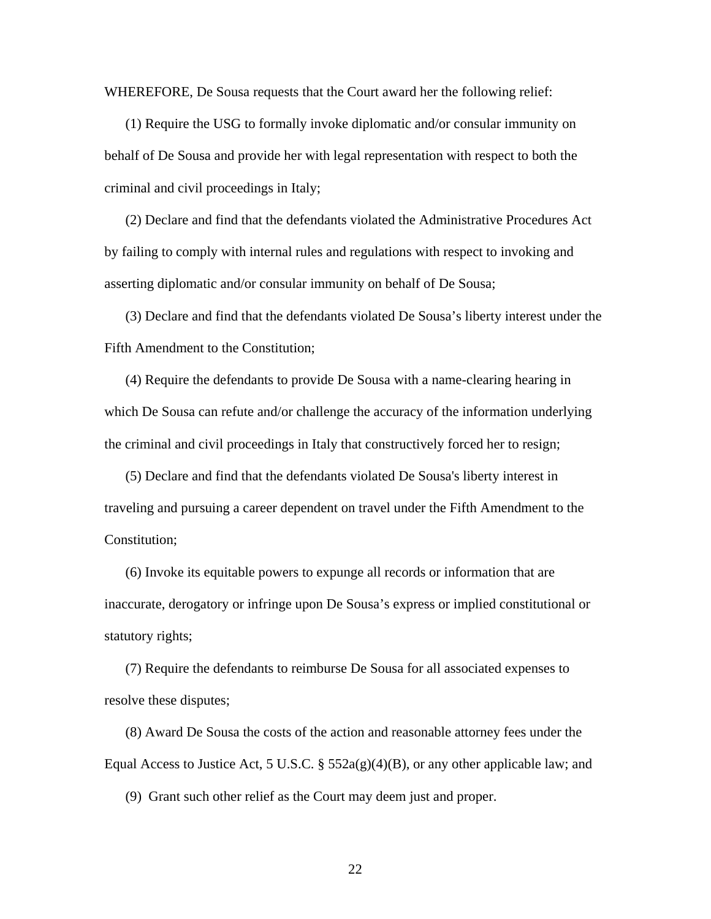WHEREFORE, De Sousa requests that the Court award her the following relief:

(1) Require the USG to formally invoke diplomatic and/or consular immunity on behalf of De Sousa and provide her with legal representation with respect to both the criminal and civil proceedings in Italy;

(2) Declare and find that the defendants violated the Administrative Procedures Act by failing to comply with internal rules and regulations with respect to invoking and asserting diplomatic and/or consular immunity on behalf of De Sousa;

(3) Declare and find that the defendants violated De Sousa's liberty interest under the Fifth Amendment to the Constitution;

(4) Require the defendants to provide De Sousa with a name-clearing hearing in which De Sousa can refute and/or challenge the accuracy of the information underlying the criminal and civil proceedings in Italy that constructively forced her to resign;

(5) Declare and find that the defendants violated De Sousa's liberty interest in traveling and pursuing a career dependent on travel under the Fifth Amendment to the Constitution;

(6) Invoke its equitable powers to expunge all records or information that are inaccurate, derogatory or infringe upon De Sousa's express or implied constitutional or statutory rights;

(7) Require the defendants to reimburse De Sousa for all associated expenses to resolve these disputes;

(8) Award De Sousa the costs of the action and reasonable attorney fees under the Equal Access to Justice Act, 5 U.S.C.  $\S$  552a(g)(4)(B), or any other applicable law; and

(9) Grant such other relief as the Court may deem just and proper.